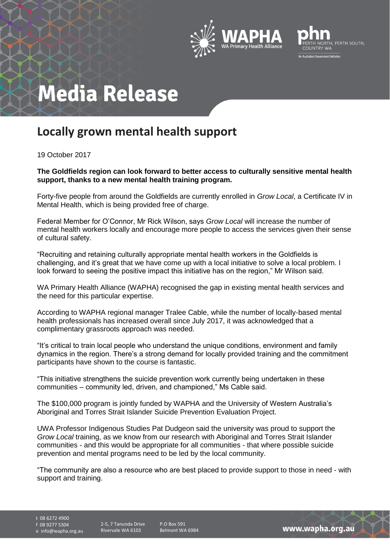



## **Media Release**

## **Locally grown mental health support**

19 October 2017

**The Goldfields region can look forward to better access to culturally sensitive mental health support, thanks to a new mental health training program.**

Forty-five people from around the Goldfields are currently enrolled in *Grow Local*, a Certificate IV in Mental Health, which is being provided free of charge.

Federal Member for O'Connor, Mr Rick Wilson, says *Grow Local* will increase the number of mental health workers locally and encourage more people to access the services given their sense of cultural safety.

"Recruiting and retaining culturally appropriate mental health workers in the Goldfields is challenging, and it's great that we have come up with a local initiative to solve a local problem. I look forward to seeing the positive impact this initiative has on the region," Mr Wilson said.

WA Primary Health Alliance (WAPHA) recognised the gap in existing mental health services and the need for this particular expertise.

According to WAPHA regional manager Tralee Cable, while the number of locally-based mental health professionals has increased overall since July 2017, it was acknowledged that a complimentary grassroots approach was needed.

"It's critical to train local people who understand the unique conditions, environment and family dynamics in the region. There's a strong demand for locally provided training and the commitment participants have shown to the course is fantastic.

"This initiative strengthens the suicide prevention work currently being undertaken in these communities – community led, driven, and championed," Ms Cable said.

The \$100,000 program is jointly funded by WAPHA and the University of Western Australia's Aboriginal and Torres Strait Islander Suicide Prevention Evaluation Project.

UWA Professor Indigenous Studies Pat Dudgeon said the university was proud to support the *Grow Local* training, as we know from our research with Aboriginal and Torres Strait Islander communities - and this would be appropriate for all communities - that where possible suicide prevention and mental programs need to be led by the local community.

"The community are also a resource who are best placed to provide support to those in need - with support and training.

t 08 6272 4900

f 08 9277 5304

e info@wapha.org.au

2-5, 7 Tanunda Drive Rivervale WA 6103

P.O Box 591 Belmont WA 6984

www.wapha.org.au